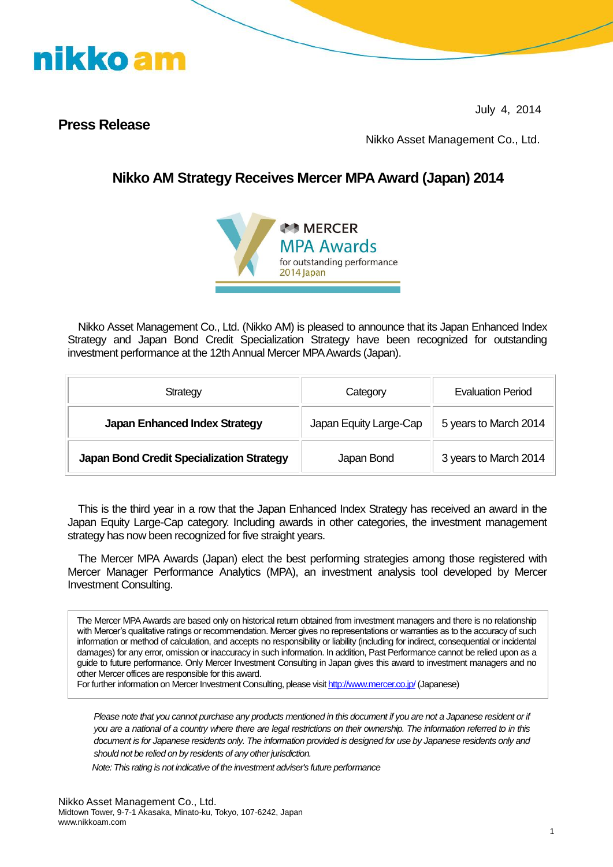

July 4, 2014

### **Press Release**

Nikko Asset Management Co., Ltd.

### **Nikko AM Strategy Receives Mercer MPA Award (Japan) 2014**



Nikko Asset Management Co., Ltd. (Nikko AM) is pleased to announce that its Japan Enhanced Index Strategy and Japan Bond Credit Specialization Strategy have been recognized for outstanding investment performance at the 12th Annual Mercer MPA Awards (Japan).

| Strategy                                  | Category               | <b>Evaluation Period</b> |
|-------------------------------------------|------------------------|--------------------------|
| <b>Japan Enhanced Index Strategy</b>      | Japan Equity Large-Cap | 5 years to March 2014    |
| Japan Bond Credit Specialization Strategy | Japan Bond             | 3 years to March 2014    |

This is the third year in a row that the Japan Enhanced Index Strategy has received an award in the Japan Equity Large-Cap category. Including awards in other categories, the investment management strategy has now been recognized for five straight years.

The Mercer MPA Awards (Japan) elect the best performing strategies among those registered with Mercer Manager Performance Analytics (MPA), an investment analysis tool developed by Mercer Investment Consulting.

The Mercer MPA Awards are based only on historical return obtained from investment managers and there is no relationship with Mercer's qualitative ratings or recommendation. Mercer gives no representations or warranties as to the accuracy of such information or method of calculation, and accepts no responsibility or liability (including for indirect, consequential or incidental damages) for any error, omission or inaccuracy in such information. In addition, Past Performance cannot be relied upon as a guide to future performance. Only Mercer Investment Consulting in Japan gives this award to investment managers and no other Mercer offices are responsible for this award.

For further information on Mercer Investment Consulting, please visi[t http://www.mercer.co.jp/](http://www.mercer.co.jp/) (Japanese)

*Please note that you cannot purchase any products mentioned in this document if you are not a Japanese resident or if you are a national of a country where there are legal restrictions on their ownership. The information referred to in this document is for Japanese residents only. The information provided is designed for use by Japanese residents only and should not be relied on by residents of any other jurisdiction.*

*Note: This rating is not indicative of the investment adviser's future performance*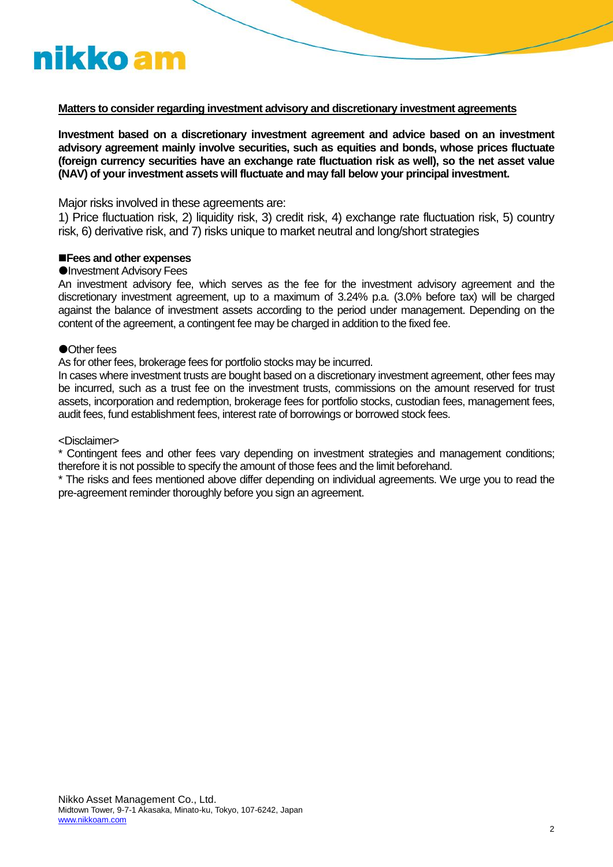# nikko am

#### **Matters to consider regarding investment advisory and discretionary investment agreements**

**Investment based on a discretionary investment agreement and advice based on an investment advisory agreement mainly involve securities, such as equities and bonds, whose prices fluctuate (foreign currency securities have an exchange rate fluctuation risk as well), so the net asset value (NAV) of your investment assets will fluctuate and may fall below your principal investment.**

Major risks involved in these agreements are:

1) Price fluctuation risk, 2) liquidity risk, 3) credit risk, 4) exchange rate fluctuation risk, 5) country risk, 6) derivative risk, and 7) risks unique to market neutral and long/short strategies

#### **Fees and other expenses**

#### **OInvestment Advisory Fees**

An investment advisory fee, which serves as the fee for the investment advisory agreement and the discretionary investment agreement, up to a maximum of 3.24% p.a. (3.0% before tax) will be charged against the balance of investment assets according to the period under management. Depending on the content of the agreement, a contingent fee may be charged in addition to the fixed fee.

#### ●Other fees

As for other fees, brokerage fees for portfolio stocks may be incurred.

In cases where investment trusts are bought based on a discretionary investment agreement, other fees may be incurred, such as a trust fee on the investment trusts, commissions on the amount reserved for trust assets, incorporation and redemption, brokerage fees for portfolio stocks, custodian fees, management fees, audit fees, fund establishment fees, interest rate of borrowings or borrowed stock fees.

#### <Disclaimer>

\* Contingent fees and other fees vary depending on investment strategies and management conditions; therefore it is not possible to specify the amount of those fees and the limit beforehand.

\* The risks and fees mentioned above differ depending on individual agreements. We urge you to read the pre-agreement reminder thoroughly before you sign an agreement.